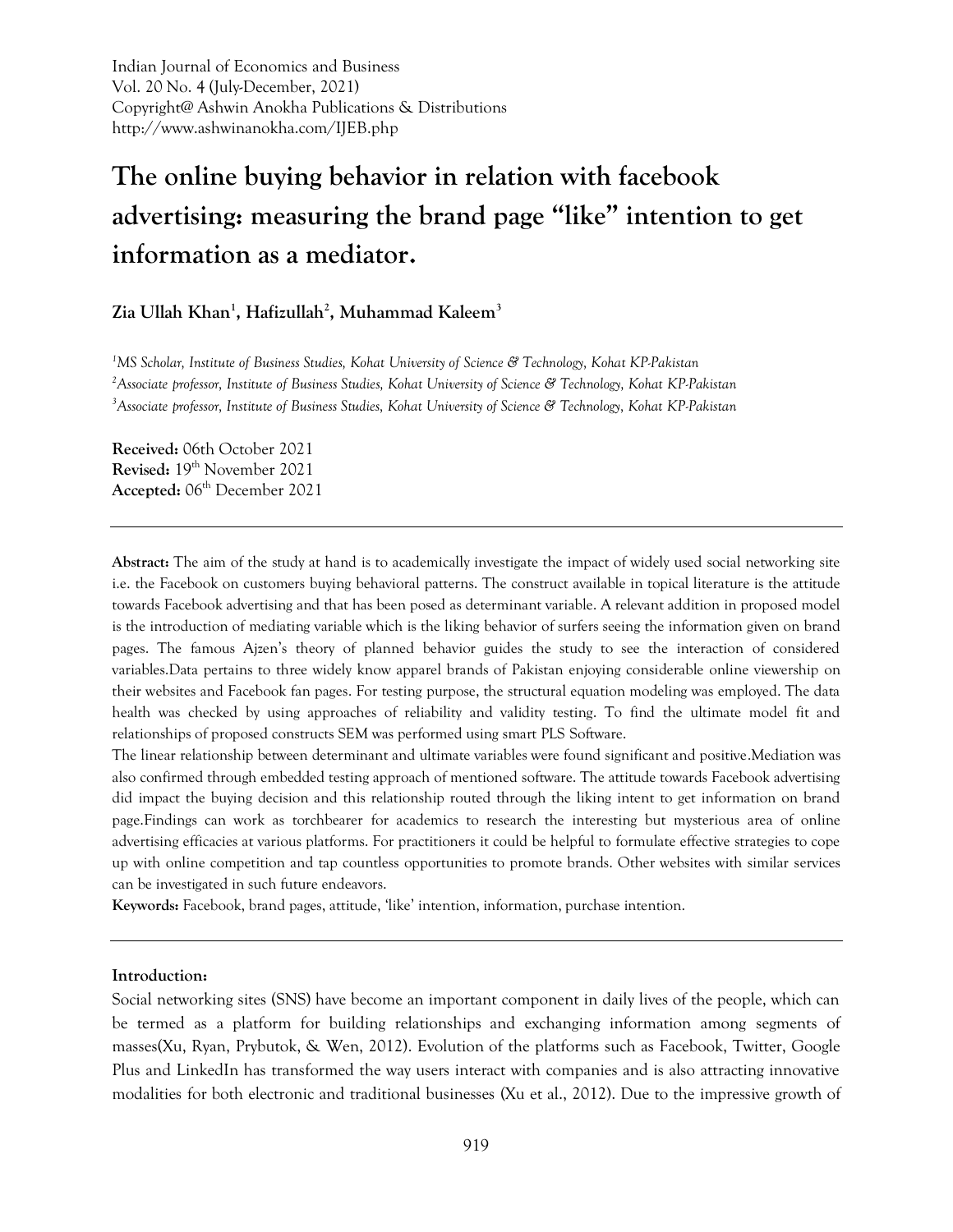Indian Journal of Economics and Business Vol. 20 No. 4 (July-December, 2021) Copyright@ Ashwin Anokha Publications & Distributions http://www.ashwinanokha.com/IJEB.php

# **The online buying behavior in relation with facebook advertising: measuring the brand page "like" intention to get information as a mediator.**

## **Zia Ullah Khan<sup>1</sup> , Hafizullah<sup>2</sup> , Muhammad Kaleem<sup>3</sup>**

*<sup>1</sup>MS Scholar, Institute of Business Studies, Kohat University of Science & Technology, Kohat KP-Pakistan <sup>2</sup>Associate professor, Institute of Business Studies, Kohat University of Science & Technology, Kohat KP-Pakistan <sup>3</sup>Associate professor, Institute of Business Studies, Kohat University of Science & Technology, Kohat KP-Pakistan*

**Received:** 06th October 2021 **Revised:** 19th November 2021 Accepted: 06<sup>th</sup> December 2021

**Abstract:** The aim of the study at hand is to academically investigate the impact of widely used social networking site i.e. the Facebook on customers buying behavioral patterns. The construct available in topical literature is the attitude towards Facebook advertising and that has been posed as determinant variable. A relevant addition in proposed model is the introduction of mediating variable which is the liking behavior of surfers seeing the information given on brand pages. The famous Ajzen's theory of planned behavior guides the study to see the interaction of considered variables.Data pertains to three widely know apparel brands of Pakistan enjoying considerable online viewership on their websites and Facebook fan pages. For testing purpose, the structural equation modeling was employed. The data health was checked by using approaches of reliability and validity testing. To find the ultimate model fit and relationships of proposed constructs SEM was performed using smart PLS Software.

The linear relationship between determinant and ultimate variables were found significant and positive.Mediation was also confirmed through embedded testing approach of mentioned software. The attitude towards Facebook advertising did impact the buying decision and this relationship routed through the liking intent to get information on brand page.Findings can work as torchbearer for academics to research the interesting but mysterious area of online advertising efficacies at various platforms. For practitioners it could be helpful to formulate effective strategies to cope up with online competition and tap countless opportunities to promote brands. Other websites with similar services can be investigated in such future endeavors.

**Keywords:** Facebook, brand pages, attitude, 'like' intention, information, purchase intention.

#### **Introduction:**

Social networking sites (SNS) have become an important component in daily lives of the people, which can be termed as a platform for building relationships and exchanging information among segments of masses(Xu, Ryan, Prybutok, & Wen, 2012). Evolution of the platforms such as Facebook, Twitter, Google Plus and LinkedIn has transformed the way users interact with companies and is also attracting innovative modalities for both electronic and traditional businesses (Xu et al., 2012). Due to the impressive growth of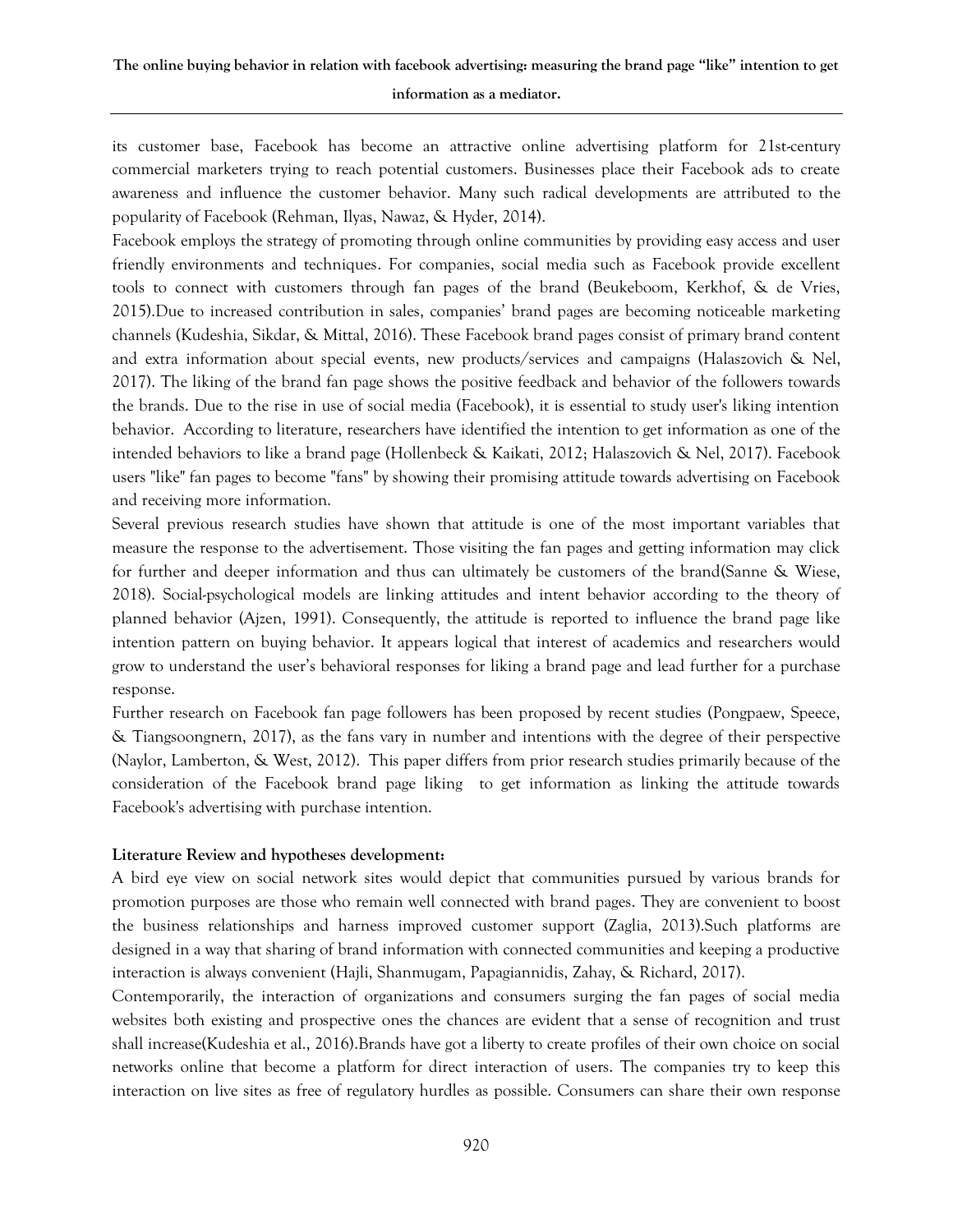# **The online buying behavior in relation with facebook advertising: measuring the brand page "like" intention to get information as a mediator.**

its customer base, Facebook has become an attractive online advertising platform for 21st-century commercial marketers trying to reach potential customers. Businesses place their Facebook ads to create awareness and influence the customer behavior. Many such radical developments are attributed to the popularity of Facebook (Rehman, Ilyas, Nawaz, & Hyder, 2014).

Facebook employs the strategy of promoting through online communities by providing easy access and user friendly environments and techniques. For companies, social media such as Facebook provide excellent tools to connect with customers through fan pages of the brand (Beukeboom, Kerkhof, & de Vries, 2015).Due to increased contribution in sales, companies' brand pages are becoming noticeable marketing channels (Kudeshia, Sikdar, & Mittal, 2016). These Facebook brand pages consist of primary brand content and extra information about special events, new products/services and campaigns (Halaszovich & Nel, 2017). The liking of the brand fan page shows the positive feedback and behavior of the followers towards the brands. Due to the rise in use of social media (Facebook), it is essential to study user's liking intention behavior. According to literature, researchers have identified the intention to get information as one of the intended behaviors to like a brand page (Hollenbeck & Kaikati, 2012; Halaszovich & Nel, 2017). Facebook users "like" fan pages to become "fans" by showing their promising attitude towards advertising on Facebook and receiving more information.

Several previous research studies have shown that attitude is one of the most important variables that measure the response to the advertisement. Those visiting the fan pages and getting information may click for further and deeper information and thus can ultimately be customers of the brand(Sanne & Wiese, 2018). Social-psychological models are linking attitudes and intent behavior according to the theory of planned behavior (Ajzen, 1991). Consequently, the attitude is reported to influence the brand page like intention pattern on buying behavior. It appears logical that interest of academics and researchers would grow to understand the user's behavioral responses for liking a brand page and lead further for a purchase response.

Further research on Facebook fan page followers has been proposed by recent studies (Pongpaew, Speece, & Tiangsoongnern, 2017), as the fans vary in number and intentions with the degree of their perspective (Naylor, Lamberton, & West, 2012). This paper differs from prior research studies primarily because of the consideration of the Facebook brand page liking to get information as linking the attitude towards Facebook's advertising with purchase intention.

#### **Literature Review and hypotheses development:**

A bird eye view on social network sites would depict that communities pursued by various brands for promotion purposes are those who remain well connected with brand pages. They are convenient to boost the business relationships and harness improved customer support (Zaglia, 2013).Such platforms are designed in a way that sharing of brand information with connected communities and keeping a productive interaction is always convenient (Hajli, Shanmugam, Papagiannidis, Zahay, & Richard, 2017).

Contemporarily, the interaction of organizations and consumers surging the fan pages of social media websites both existing and prospective ones the chances are evident that a sense of recognition and trust shall increase(Kudeshia et al., 2016).Brands have got a liberty to create profiles of their own choice on social networks online that become a platform for direct interaction of users. The companies try to keep this interaction on live sites as free of regulatory hurdles as possible. Consumers can share their own response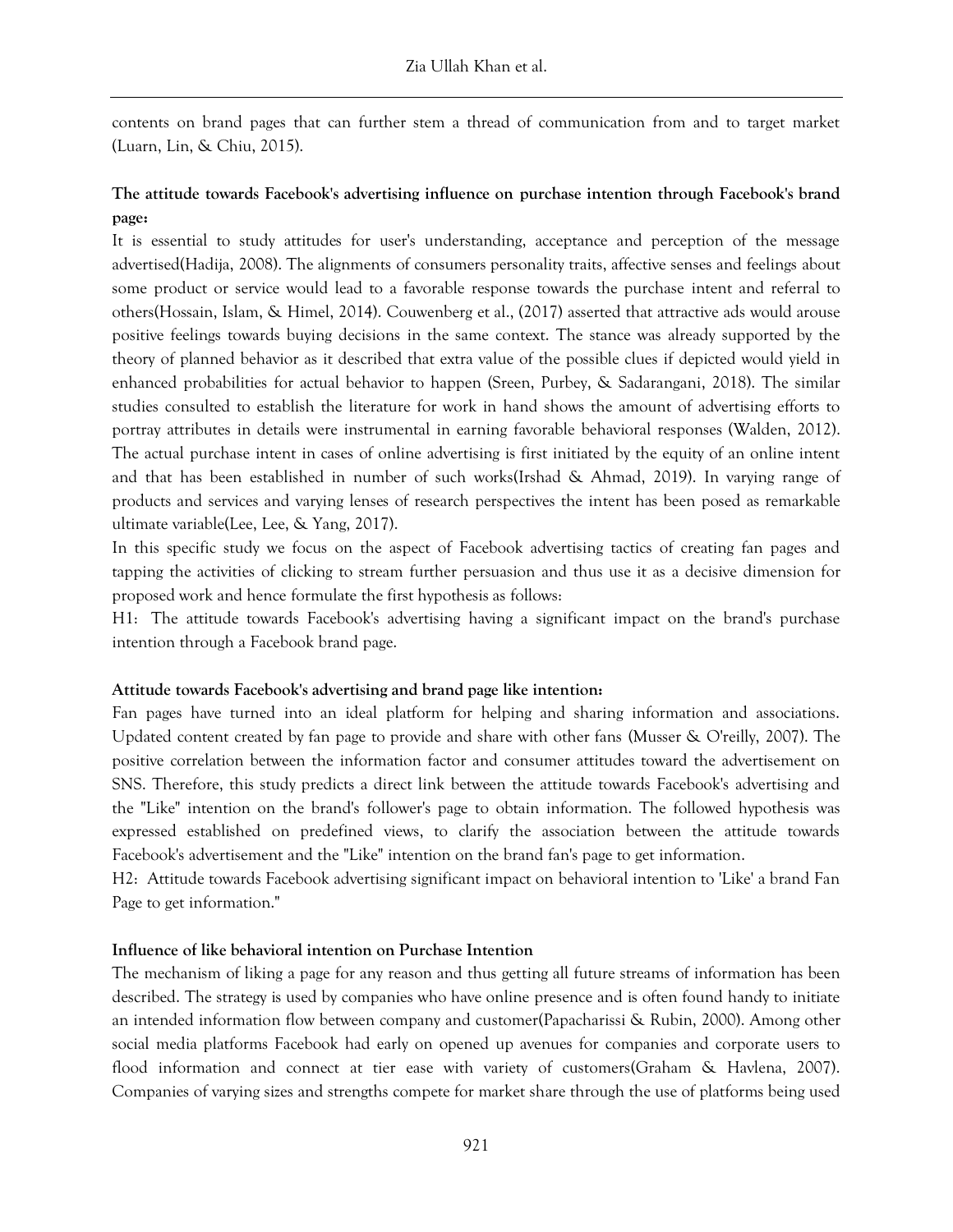contents on brand pages that can further stem a thread of communication from and to target market (Luarn, Lin, & Chiu, 2015).

# **The attitude towards Facebook's advertising influence on purchase intention through Facebook's brand page:**

It is essential to study attitudes for user's understanding, acceptance and perception of the message advertised(Hadija, 2008). The alignments of consumers personality traits, affective senses and feelings about some product or service would lead to a favorable response towards the purchase intent and referral to others(Hossain, Islam, & Himel, 2014). Couwenberg et al., (2017) asserted that attractive ads would arouse positive feelings towards buying decisions in the same context. The stance was already supported by the theory of planned behavior as it described that extra value of the possible clues if depicted would yield in enhanced probabilities for actual behavior to happen (Sreen, Purbey, & Sadarangani, 2018). The similar studies consulted to establish the literature for work in hand shows the amount of advertising efforts to portray attributes in details were instrumental in earning favorable behavioral responses (Walden, 2012). The actual purchase intent in cases of online advertising is first initiated by the equity of an online intent and that has been established in number of such works(Irshad & Ahmad, 2019). In varying range of products and services and varying lenses of research perspectives the intent has been posed as remarkable ultimate variable(Lee, Lee, & Yang, 2017).

In this specific study we focus on the aspect of Facebook advertising tactics of creating fan pages and tapping the activities of clicking to stream further persuasion and thus use it as a decisive dimension for proposed work and hence formulate the first hypothesis as follows:

H1: "The attitude towards Facebook's advertising having a significant impact on the brand's purchase intention through a Facebook brand page.

#### **Attitude towards Facebook's advertising and brand page like intention:**

Fan pages have turned into an ideal platform for helping and sharing information and associations. Updated content created by fan page to provide and share with other fans (Musser & O'reilly, 2007). The positive correlation between the information factor and consumer attitudes toward the advertisement on SNS. Therefore, this study predicts a direct link between the attitude towards Facebook's advertising and the "Like" intention on the brand's follower's page to obtain information. The followed hypothesis was expressed established on predefined views, to clarify the association between the attitude towards Facebook's advertisement and the "Like" intention on the brand fan's page to get information.

H2: "Attitude towards Facebook advertising significant impact on behavioral intention to 'Like' a brand Fan Page to get information."

#### **Influence of like behavioral intention on Purchase Intention**

The mechanism of liking a page for any reason and thus getting all future streams of information has been described. The strategy is used by companies who have online presence and is often found handy to initiate an intended information flow between company and customer(Papacharissi & Rubin, 2000). Among other social media platforms Facebook had early on opened up avenues for companies and corporate users to flood information and connect at tier ease with variety of customers(Graham & Havlena, 2007). Companies of varying sizes and strengths compete for market share through the use of platforms being used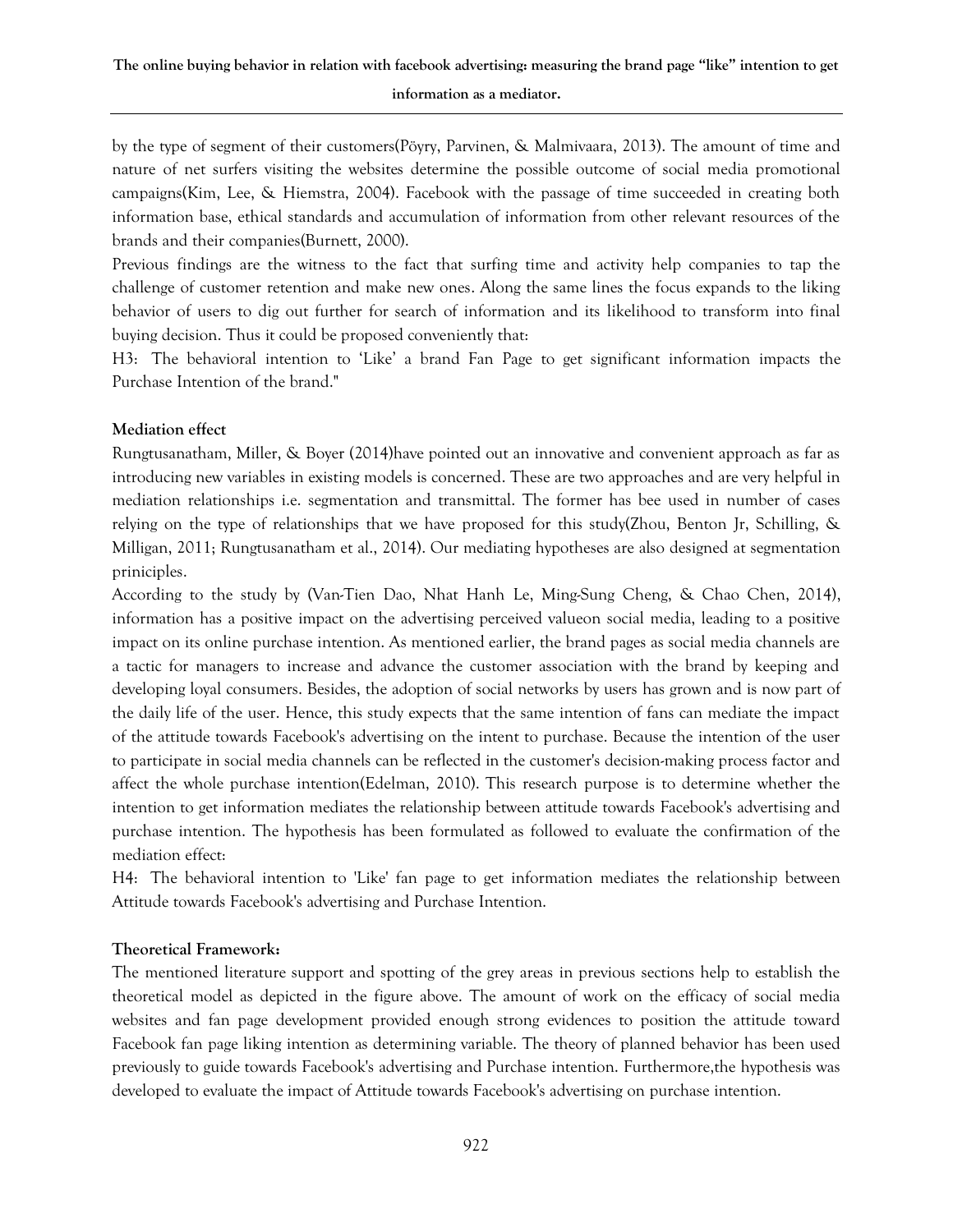by the type of segment of their customers(Pöyry, Parvinen, & Malmivaara, 2013). The amount of time and nature of net surfers visiting the websites determine the possible outcome of social media promotional campaigns(Kim, Lee, & Hiemstra, 2004). Facebook with the passage of time succeeded in creating both information base, ethical standards and accumulation of information from other relevant resources of the brands and their companies(Burnett, 2000).

Previous findings are the witness to the fact that surfing time and activity help companies to tap the challenge of customer retention and make new ones. Along the same lines the focus expands to the liking behavior of users to dig out further for search of information and its likelihood to transform into final buying decision. Thus it could be proposed conveniently that:

H3: "The behavioral intention to 'Like' a brand Fan Page to get significant information impacts the Purchase Intention of the brand."

## **Mediation effect**

Rungtusanatham, Miller, & Boyer (2014)have pointed out an innovative and convenient approach as far as introducing new variables in existing models is concerned. These are two approaches and are very helpful in mediation relationships i.e. segmentation and transmittal. The former has bee used in number of cases relying on the type of relationships that we have proposed for this study(Zhou, Benton Jr, Schilling, & Milligan, 2011; Rungtusanatham et al., 2014). Our mediating hypotheses are also designed at segmentation priniciples.

According to the study by (Van-Tien Dao, Nhat Hanh Le, Ming-Sung Cheng, & Chao Chen, 2014), information has a positive impact on the advertising perceived valueon social media, leading to a positive impact on its online purchase intention. As mentioned earlier, the brand pages as social media channels are a tactic for managers to increase and advance the customer association with the brand by keeping and developing loyal consumers. Besides, the adoption of social networks by users has grown and is now part of the daily life of the user. Hence, this study expects that the same intention of fans can mediate the impact of the attitude towards Facebook's advertising on the intent to purchase. Because the intention of the user to participate in social media channels can be reflected in the customer's decision-making process factor and affect the whole purchase intention(Edelman, 2010). This research purpose is to determine whether the intention to get information mediates the relationship between attitude towards Facebook's advertising and purchase intention. The hypothesis has been formulated as followed to evaluate the confirmation of the mediation effect:

H4: "The behavioral intention to 'Like' fan page to get information mediates the relationship between Attitude towards Facebook's advertising and Purchase Intention.

# **Theoretical Framework:**

The mentioned literature support and spotting of the grey areas in previous sections help to establish the theoretical model as depicted in the figure above. The amount of work on the efficacy of social media websites and fan page development provided enough strong evidences to position the attitude toward Facebook fan page liking intention as determining variable. The theory of planned behavior has been used previously to guide towards Facebook's advertising and Purchase intention. Furthermore,the hypothesis was developed to evaluate the impact of Attitude towards Facebook's advertising on purchase intention.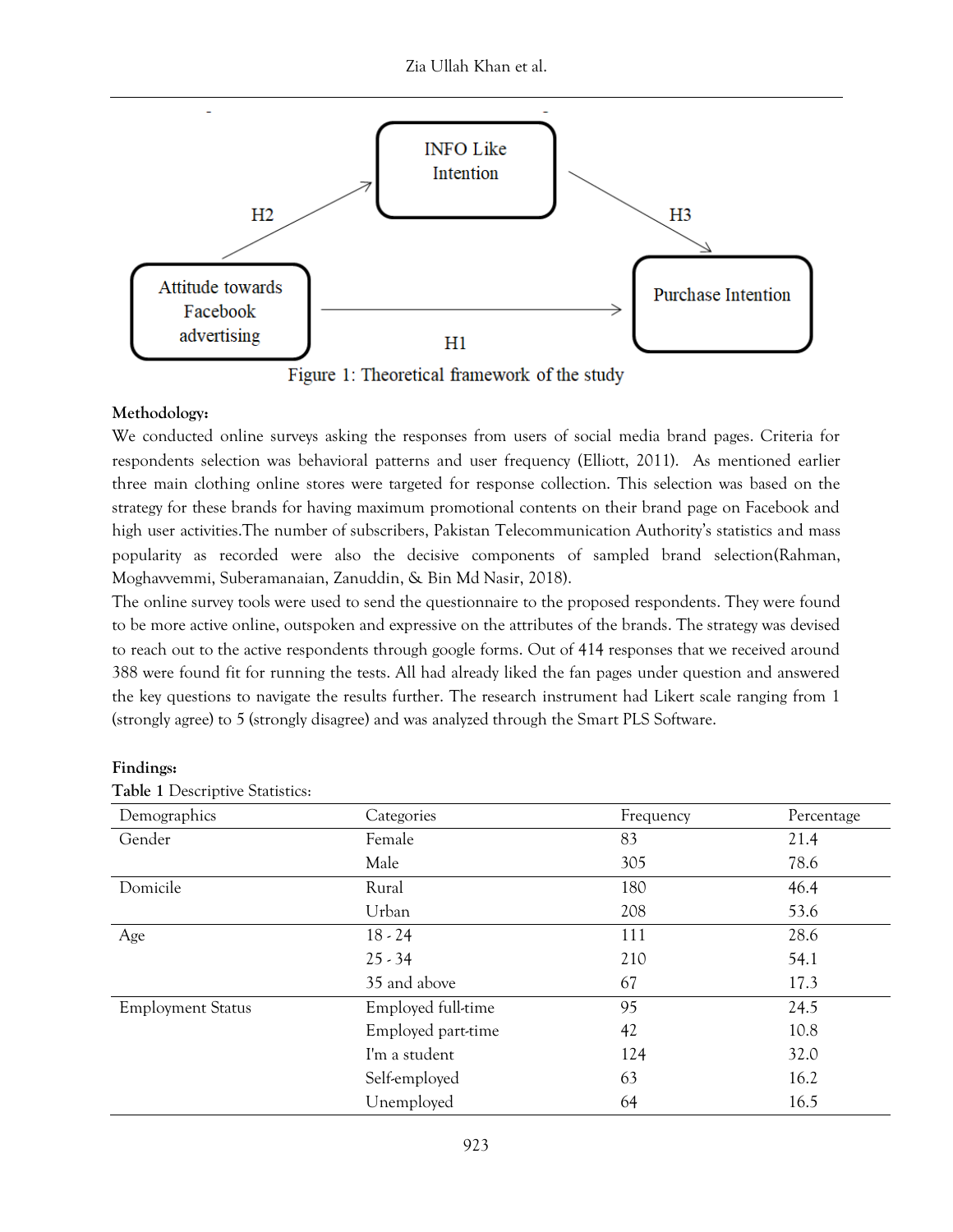Zia Ullah Khan et al.



Figure 1: Theoretical framework of the study

## **Methodology:**

We conducted online surveys asking the responses from users of social media brand pages. Criteria for respondents selection was behavioral patterns and user frequency (Elliott, 2011). As mentioned earlier three main clothing online stores were targeted for response collection. This selection was based on the strategy for these brands for having maximum promotional contents on their brand page on Facebook and high user activities.The number of subscribers, Pakistan Telecommunication Authority's statistics and mass popularity as recorded were also the decisive components of sampled brand selection(Rahman, Moghavvemmi, Suberamanaian, Zanuddin, & Bin Md Nasir, 2018).

The online survey tools were used to send the questionnaire to the proposed respondents. They were found to be more active online, outspoken and expressive on the attributes of the brands. The strategy was devised to reach out to the active respondents through google forms. Out of 414 responses that we received around 388 were found fit for running the tests. All had already liked the fan pages under question and answered the key questions to navigate the results further. The research instrument had Likert scale ranging from 1 (strongly agree) to 5 (strongly disagree) and was analyzed through the Smart PLS Software.

| Table 1 Descriptive Statistics: |                    |           |            |
|---------------------------------|--------------------|-----------|------------|
| Demographics                    | Categories         | Frequency | Percentage |
| Gender                          | Female             | 83        | 21.4       |
|                                 | Male               | 305       | 78.6       |
| Domicile                        | Rural              | 180       | 46.4       |
|                                 | Urban              | 208       | 53.6       |
| Age                             | $18 - 24$          | 111       | 28.6       |
|                                 | $25 - 34$          | 210       | 54.1       |
|                                 | 35 and above       | 67        | 17.3       |
| <b>Employment Status</b>        | Employed full-time | 95        | 24.5       |
|                                 | Employed part-time | 42        | 10.8       |
|                                 | I'm a student      | 124       | 32.0       |
|                                 | Self-employed      | 63        | 16.2       |
|                                 | Unemployed         | 64        | 16.5       |

**Findings:**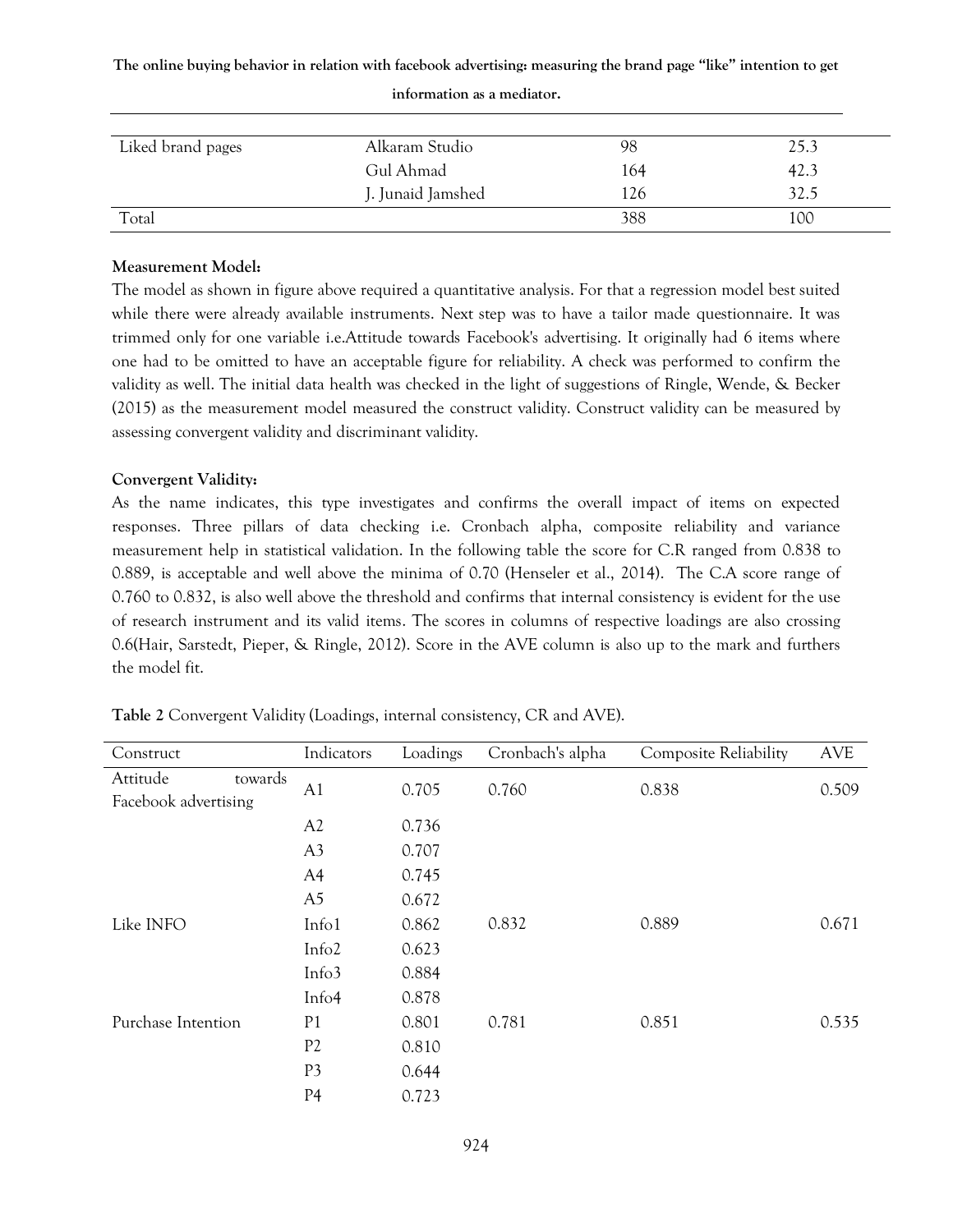**The online buying behavior in relation with facebook advertising: measuring the brand page "like" intention to get** 

| Liked brand pages | Alkaram Studio    | 98  | 25.3 |
|-------------------|-------------------|-----|------|
|                   | Gul Ahmad         | 164 | 42.3 |
|                   | J. Junaid Jamshed | 126 | 32.5 |
| Total             |                   | 388 | 100  |

#### **information as a mediator.**

## **Measurement Model:**

The model as shown in figure above required a quantitative analysis. For that a regression model best suited while there were already available instruments. Next step was to have a tailor made questionnaire. It was trimmed only for one variable i.e.Attitude towards Facebook's advertising. It originally had 6 items where one had to be omitted to have an acceptable figure for reliability. A check was performed to confirm the validity as well. The initial data health was checked in the light of suggestions of Ringle, Wende, & Becker (2015) as the measurement model measured the construct validity. Construct validity can be measured by assessing convergent validity and discriminant validity.

## **Convergent Validity:**

As the name indicates, this type investigates and confirms the overall impact of items on expected responses. Three pillars of data checking i.e. Cronbach alpha, composite reliability and variance measurement help in statistical validation. In the following table the score for C.R ranged from 0.838 to 0.889, is acceptable and well above the minima of 0.70 (Henseler et al., 2014). The C.A score range of 0.760 to 0.832, is also well above the threshold and confirms that internal consistency is evident for the use of research instrument and its valid items. The scores in columns of respective loadings are also crossing 0.6(Hair, Sarstedt, Pieper, & Ringle, 2012). Score in the AVE column is also up to the mark and furthers the model fit.

| Construct                                   | Indicators        | Loadings | Cronbach's alpha | <b>Composite Reliability</b> | <b>AVE</b> |
|---------------------------------------------|-------------------|----------|------------------|------------------------------|------------|
| Attitude<br>towards<br>Facebook advertising | A1                | 0.705    | 0.760            | 0.838                        | 0.509      |
|                                             | A2                | 0.736    |                  |                              |            |
|                                             | A <sub>3</sub>    | 0.707    |                  |                              |            |
|                                             | A4                | 0.745    |                  |                              |            |
|                                             | A <sub>5</sub>    | 0.672    |                  |                              |            |
| Like INFO                                   | Info1             | 0.862    | 0.832            | 0.889                        | 0.671      |
|                                             | Info <sub>2</sub> | 0.623    |                  |                              |            |
|                                             | Info3             | 0.884    |                  |                              |            |
|                                             | Info <sub>4</sub> | 0.878    |                  |                              |            |
| Purchase Intention                          | P <sub>1</sub>    | 0.801    | 0.781            | 0.851                        | 0.535      |
|                                             | P <sub>2</sub>    | 0.810    |                  |                              |            |
|                                             | P <sub>3</sub>    | 0.644    |                  |                              |            |
|                                             | P <sub>4</sub>    | 0.723    |                  |                              |            |

**Table 2** Convergent Validity (Loadings, internal consistency, CR and AVE).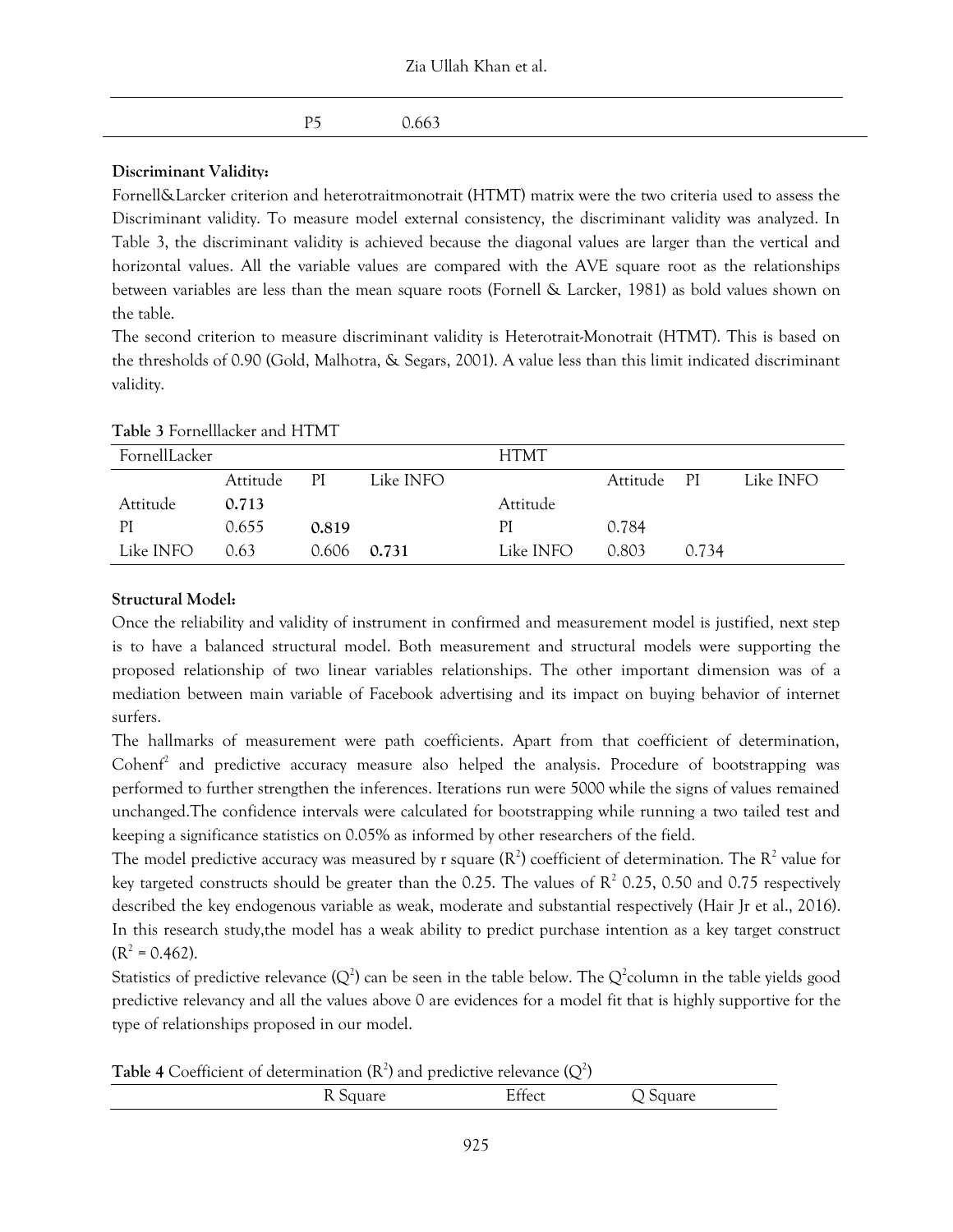| Zia Ullah Khan et al. |  |  |
|-----------------------|--|--|
|-----------------------|--|--|

| P5 0.663 |
|----------|

## **Discriminant Validity:**

Fornell&Larcker criterion and heterotraitmonotrait (HTMT) matrix were the two criteria used to assess the Discriminant validity. To measure model external consistency, the discriminant validity was analyzed. In Table 3, the discriminant validity is achieved because the diagonal values are larger than the vertical and horizontal values. All the variable values are compared with the AVE square root as the relationships between variables are less than the mean square roots (Fornell & Larcker, 1981) as bold values shown on the table.

The second criterion to measure discriminant validity is Heterotrait-Monotrait (HTMT). This is based on the thresholds of 0.90 (Gold, Malhotra, & Segars, 2001). A value less than this limit indicated discriminant validity.

| FornellLacker |          |       |           | <b>HTMT</b> |             |       |           |  |
|---------------|----------|-------|-----------|-------------|-------------|-------|-----------|--|
|               | Attitude | PI    | Like INFO |             | Attitude PI |       | Like INFO |  |
| Attitude      | 0.713    |       |           | Attitude    |             |       |           |  |
| ΡI            | 0.655    | 0.819 |           | РI          | 0.784       |       |           |  |
| Like INFO     | 0.63     | 0.606 | 0.731     | Like INFO   | 0.803       | 0.734 |           |  |

**Table 3** Fornelllacker and HTMT

## **Structural Model:**

Once the reliability and validity of instrument in confirmed and measurement model is justified, next step is to have a balanced structural model. Both measurement and structural models were supporting the proposed relationship of two linear variables relationships. The other important dimension was of a mediation between main variable of Facebook advertising and its impact on buying behavior of internet surfers.

The hallmarks of measurement were path coefficients. Apart from that coefficient of determination, Cohenf<sup>2</sup> and predictive accuracy measure also helped the analysis. Procedure of bootstrapping was performed to further strengthen the inferences. Iterations run were 5000 while the signs of values remained unchanged.The confidence intervals were calculated for bootstrapping while running a two tailed test and keeping a significance statistics on 0.05% as informed by other researchers of the field.

The model predictive accuracy was measured by r square  $(R^2)$  coefficient of determination. The  $R^2$  value for key targeted constructs should be greater than the 0.25. The values of  $\mathbb{R}^2$  0.25, 0.50 and 0.75 respectively described the key endogenous variable as weak, moderate and substantial respectively (Hair Jr et al., 2016). In this research study,the model has a weak ability to predict purchase intention as a key target construct  $(R<sup>2</sup> = 0.462).$ 

Statistics of predictive relevance (Q<sup>2</sup>) can be seen in the table below. The Q<sup>2</sup>column in the table yields good predictive relevancy and all the values above 0 are evidences for a model fit that is highly supportive for the type of relationships proposed in our model.

**Table 4** Coefficient of determination ( $\mathsf{R}^2$ ) and predictive relevance ( $\mathsf{Q}^2$ )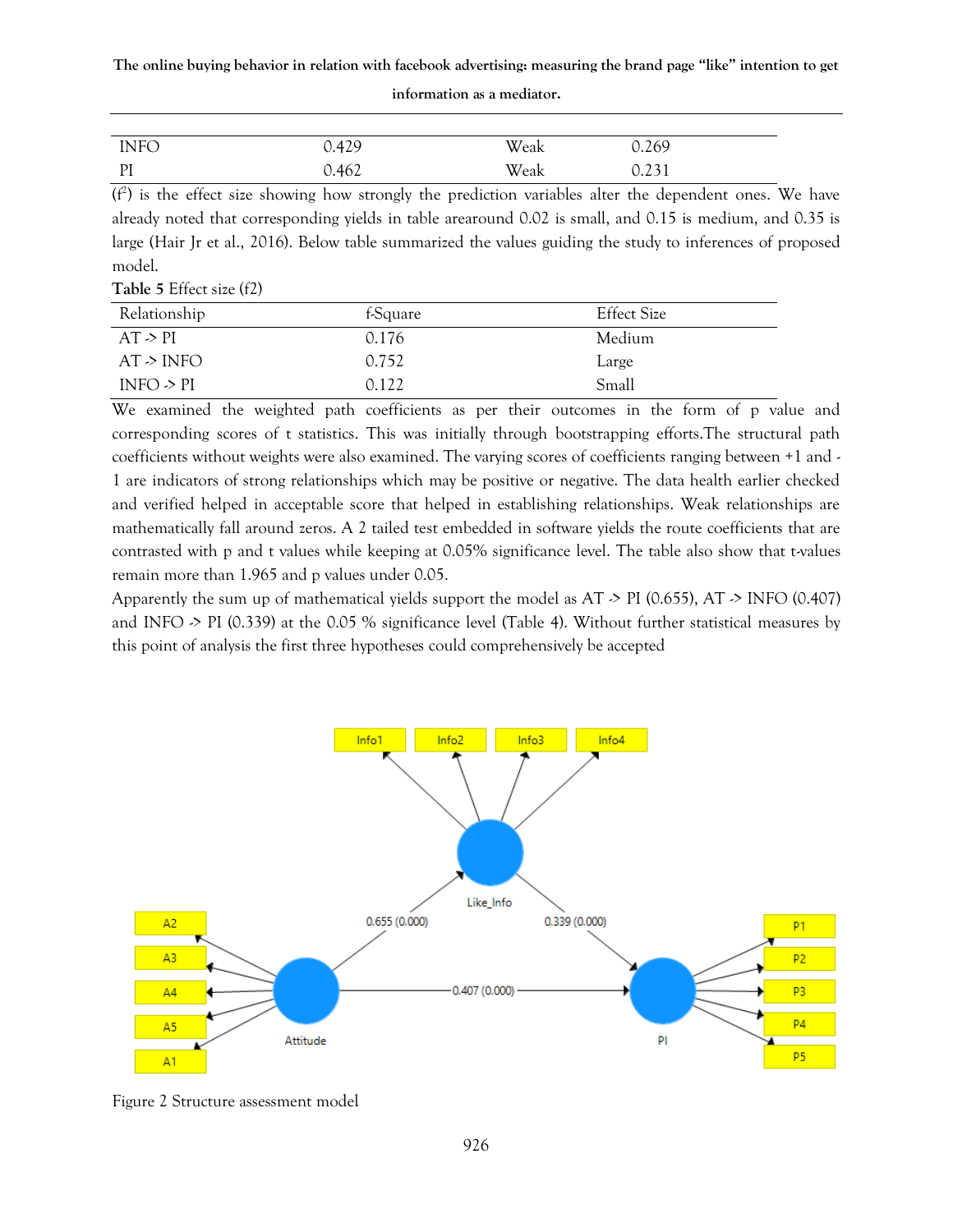**The online buying behavior in relation with facebook advertising: measuring the brand page "like" intention to get** 

| <b>INFO</b> | 0.429 | Weak | 0.269 |
|-------------|-------|------|-------|
| PI          | 0.462 | Weak | 0.231 |

#### **information as a mediator.**

 $(f<sup>2</sup>)$  is the effect size showing how strongly the prediction variables alter the dependent ones. We have already noted that corresponding yields in table arearound 0.02 is small, and 0.15 is medium, and 0.35 is large (Hair Jr et al., 2016). Below table summarized the values guiding the study to inferences of proposed model.

|  | Table 5 Effect size (f2) |  |
|--|--------------------------|--|
|--|--------------------------|--|

| Relationship   | f-Square | <b>Effect Size</b> |
|----------------|----------|--------------------|
| AT > PI        | 0.176    | Medium             |
| AT > INFO      | 0.752    | Large              |
| INFO $\geq$ PI | 0.122    | Small              |

We examined the weighted path coefficients as per their outcomes in the form of p value and corresponding scores of t statistics. This was initially through bootstrapping efforts.The structural path coefficients without weights were also examined. The varying scores of coefficients ranging between +1 and - 1 are indicators of strong relationships which may be positive or negative. The data health earlier checked and verified helped in acceptable score that helped in establishing relationships. Weak relationships are mathematically fall around zeros. A 2 tailed test embedded in software yields the route coefficients that are contrasted with p and t values while keeping at 0.05% significance level. The table also show that t-values remain more than 1.965 and p values under 0.05.

Apparently the sum up of mathematical yields support the model as  $AT \ge PI$  (0.655),  $AT \ge INFO$  (0.407) and INFO -> PI (0.339) at the 0.05 % significance level (Table 4). Without further statistical measures by this point of analysis the first three hypotheses could comprehensively be accepted



Figure 2 Structure assessment model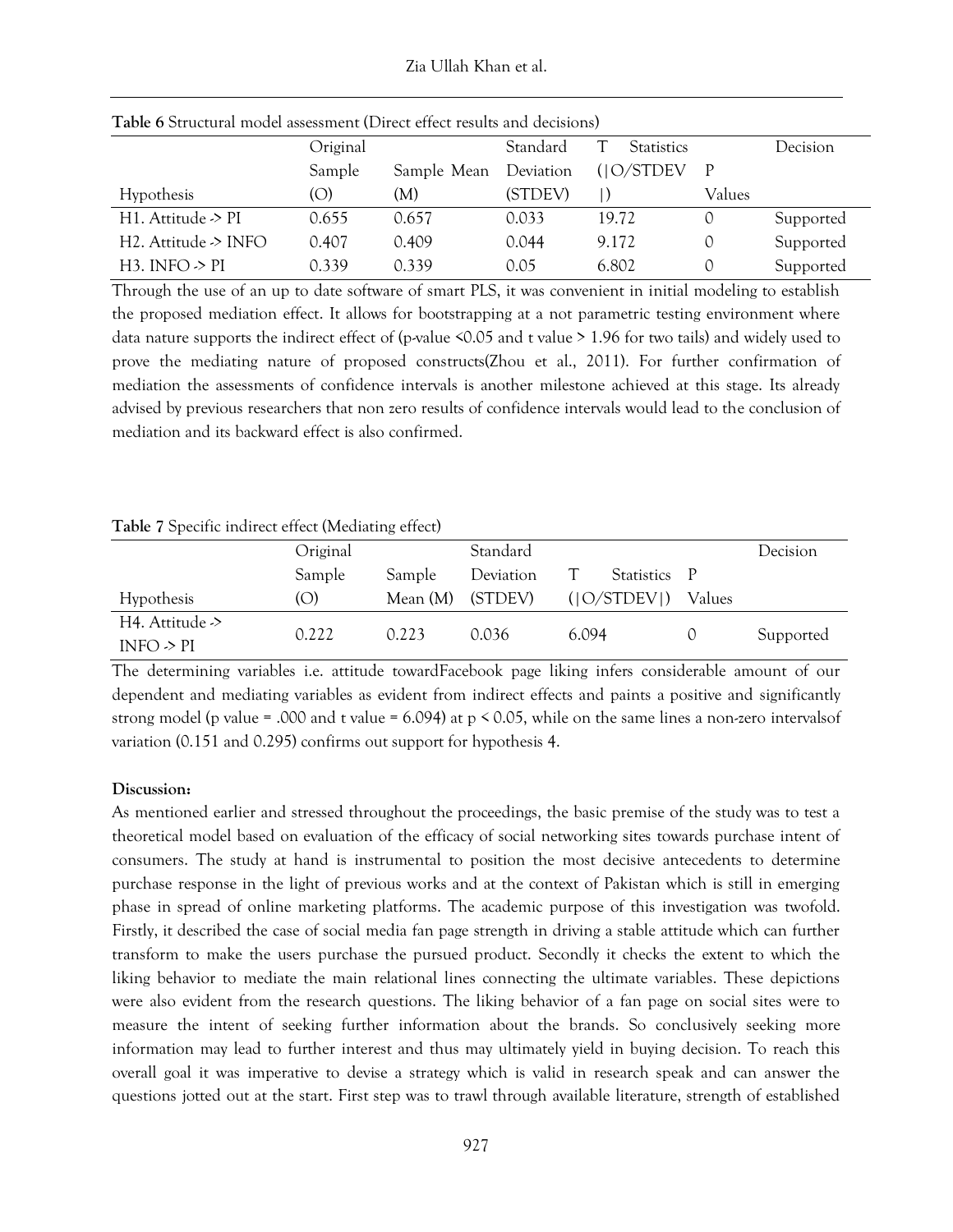| <b>Table 6 Structural model assessment (Direct effect results and decisions)</b> |          |             |           |                   |        |           |  |
|----------------------------------------------------------------------------------|----------|-------------|-----------|-------------------|--------|-----------|--|
|                                                                                  | Original |             | Standard  | <b>Statistics</b> |        | Decision  |  |
|                                                                                  | Sample   | Sample Mean | Deviation | (10/STDEV)        | - P    |           |  |
| Hypothesis                                                                       | (O)      | (M)         | (STDEV)   |                   | Values |           |  |
| H1. Attitude $\geq$ PI                                                           | 0.655    | 0.657       | 0.033     | 19.72             |        | Supported |  |
| H2. Attitude $\geq$ INFO                                                         | 0.407    | 0.409       | 0.044     | 9.172             |        | Supported |  |
| H3. INFO $\geq$ PI                                                               | 0.339    | 0.339       | 0.05      | 6.802             |        | Supported |  |

**Table 6** Structural model assessment (Direct effect results and decisions)

Through the use of an up to date software of smart PLS, it was convenient in initial modeling to establish the proposed mediation effect. It allows for bootstrapping at a not parametric testing environment where data nature supports the indirect effect of (p-value  $\leq 0.05$  and t value  $> 1.96$  for two tails) and widely used to prove the mediating nature of proposed constructs(Zhou et al., 2011). For further confirmation of mediation the assessments of confidence intervals is another milestone achieved at this stage. Its already advised by previous researchers that non zero results of confidence intervals would lead to the conclusion of mediation and its backward effect is also confirmed.

|  |  |  |  | Table 7 Specific indirect effect (Mediating effect) |  |
|--|--|--|--|-----------------------------------------------------|--|
|--|--|--|--|-----------------------------------------------------|--|

|                                   | Original |          | Standard  |             |            |              | Decision  |
|-----------------------------------|----------|----------|-----------|-------------|------------|--------------|-----------|
|                                   | Sample   | Sample   | Deviation |             | Statistics | $\mathsf{P}$ |           |
| <b>Hypothesis</b>                 | (O)      | Mean (M) | (STDEV)   | ( O/STDEV ) |            | Values       |           |
| H4. Attitude -><br>INFO $\geq$ PI | 0.222    | 0.223    | 0.036     | 6.094       |            |              | Supported |

The determining variables i.e. attitude towardFacebook page liking infers considerable amount of our dependent and mediating variables as evident from indirect effects and paints a positive and significantly strong model (p value = .000 and t value = 6.094) at p < 0.05, while on the same lines a non-zero intervalsof variation (0.151 and 0.295) confirms out support for hypothesis 4.

#### **Discussion:**

As mentioned earlier and stressed throughout the proceedings, the basic premise of the study was to test a theoretical model based on evaluation of the efficacy of social networking sites towards purchase intent of consumers. The study at hand is instrumental to position the most decisive antecedents to determine purchase response in the light of previous works and at the context of Pakistan which is still in emerging phase in spread of online marketing platforms. The academic purpose of this investigation was twofold. Firstly, it described the case of social media fan page strength in driving a stable attitude which can further transform to make the users purchase the pursued product. Secondly it checks the extent to which the liking behavior to mediate the main relational lines connecting the ultimate variables. These depictions were also evident from the research questions. The liking behavior of a fan page on social sites were to measure the intent of seeking further information about the brands. So conclusively seeking more information may lead to further interest and thus may ultimately yield in buying decision. To reach this overall goal it was imperative to devise a strategy which is valid in research speak and can answer the questions jotted out at the start. First step was to trawl through available literature, strength of established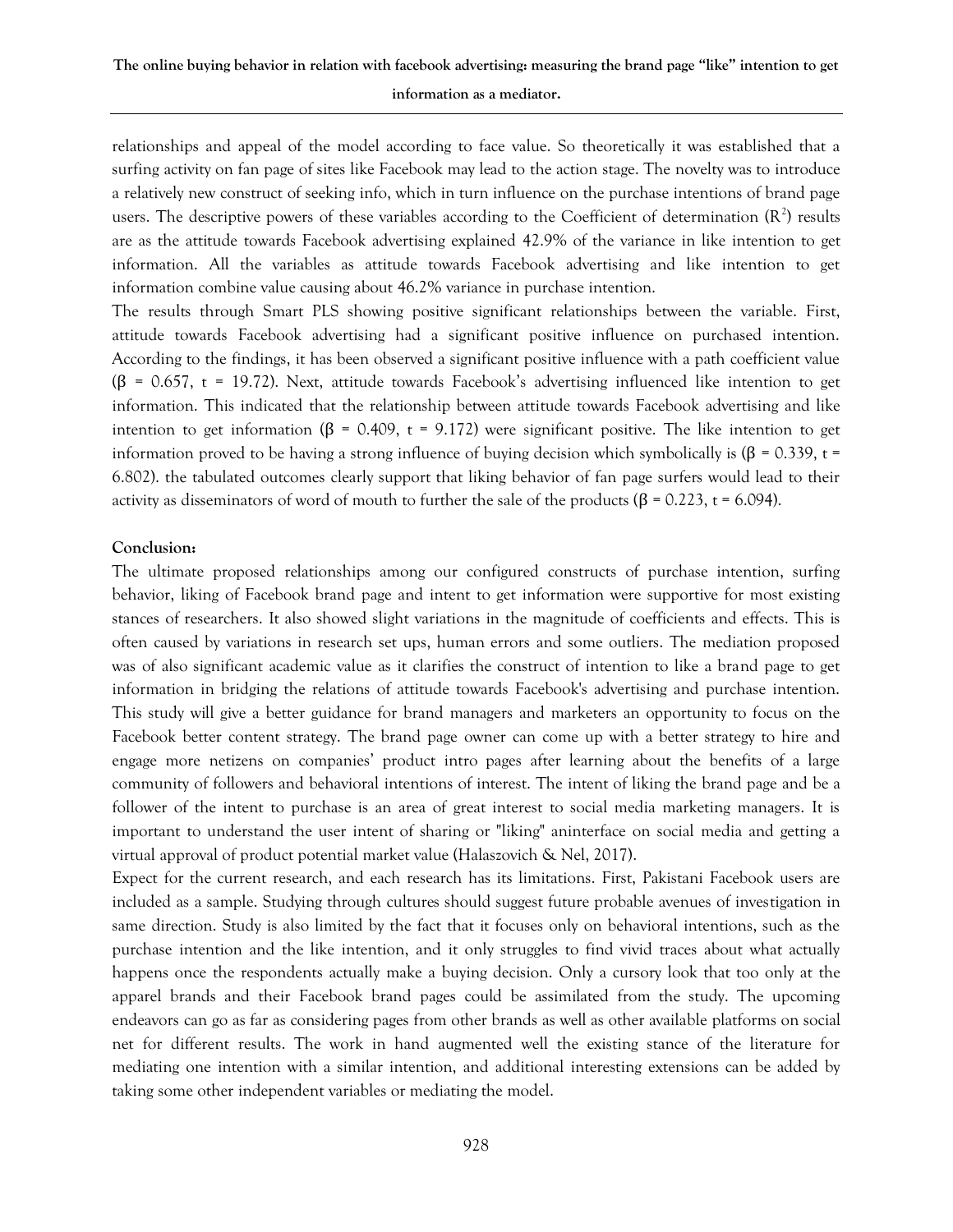# **The online buying behavior in relation with facebook advertising: measuring the brand page "like" intention to get information as a mediator.**

relationships and appeal of the model according to face value. So theoretically it was established that a surfing activity on fan page of sites like Facebook may lead to the action stage. The novelty was to introduce a relatively new construct of seeking info, which in turn influence on the purchase intentions of brand page users. The descriptive powers of these variables according to the Coefficient of determination  $(R^2)$  results are as the attitude towards Facebook advertising explained 42.9% of the variance in like intention to get information. All the variables as attitude towards Facebook advertising and like intention to get information combine value causing about 46.2% variance in purchase intention.

The results through Smart PLS showing positive significant relationships between the variable. First, attitude towards Facebook advertising had a significant positive influence on purchased intention. According to the findings, it has been observed a significant positive influence with a path coefficient value (β = 0.657, t = 19.72). Next, attitude towards Facebook's advertising influenced like intention to get information. This indicated that the relationship between attitude towards Facebook advertising and like intention to get information (β = 0.409, t = 9.172) were significant positive. The like intention to get information proved to be having a strong influence of buying decision which symbolically is (β = 0.339, t = 6.802). the tabulated outcomes clearly support that liking behavior of fan page surfers would lead to their activity as disseminators of word of mouth to further the sale of the products ( $\beta$  = 0.223, t = 6.094).

#### **Conclusion:**

The ultimate proposed relationships among our configured constructs of purchase intention, surfing behavior, liking of Facebook brand page and intent to get information were supportive for most existing stances of researchers. It also showed slight variations in the magnitude of coefficients and effects. This is often caused by variations in research set ups, human errors and some outliers. The mediation proposed was of also significant academic value as it clarifies the construct of intention to like a brand page to get information in bridging the relations of attitude towards Facebook's advertising and purchase intention. This study will give a better guidance for brand managers and marketers an opportunity to focus on the Facebook better content strategy. The brand page owner can come up with a better strategy to hire and engage more netizens on companies' product intro pages after learning about the benefits of a large community of followers and behavioral intentions of interest. The intent of liking the brand page and be a follower of the intent to purchase is an area of great interest to social media marketing managers. It is important to understand the user intent of sharing or "liking" aninterface on social media and getting a virtual approval of product potential market value (Halaszovich & Nel, 2017).

Expect for the current research, and each research has its limitations. First, Pakistani Facebook users are included as a sample. Studying through cultures should suggest future probable avenues of investigation in same direction. Study is also limited by the fact that it focuses only on behavioral intentions, such as the purchase intention and the like intention, and it only struggles to find vivid traces about what actually happens once the respondents actually make a buying decision. Only a cursory look that too only at the apparel brands and their Facebook brand pages could be assimilated from the study. The upcoming endeavors can go as far as considering pages from other brands as well as other available platforms on social net for different results. The work in hand augmented well the existing stance of the literature for mediating one intention with a similar intention, and additional interesting extensions can be added by taking some other independent variables or mediating the model.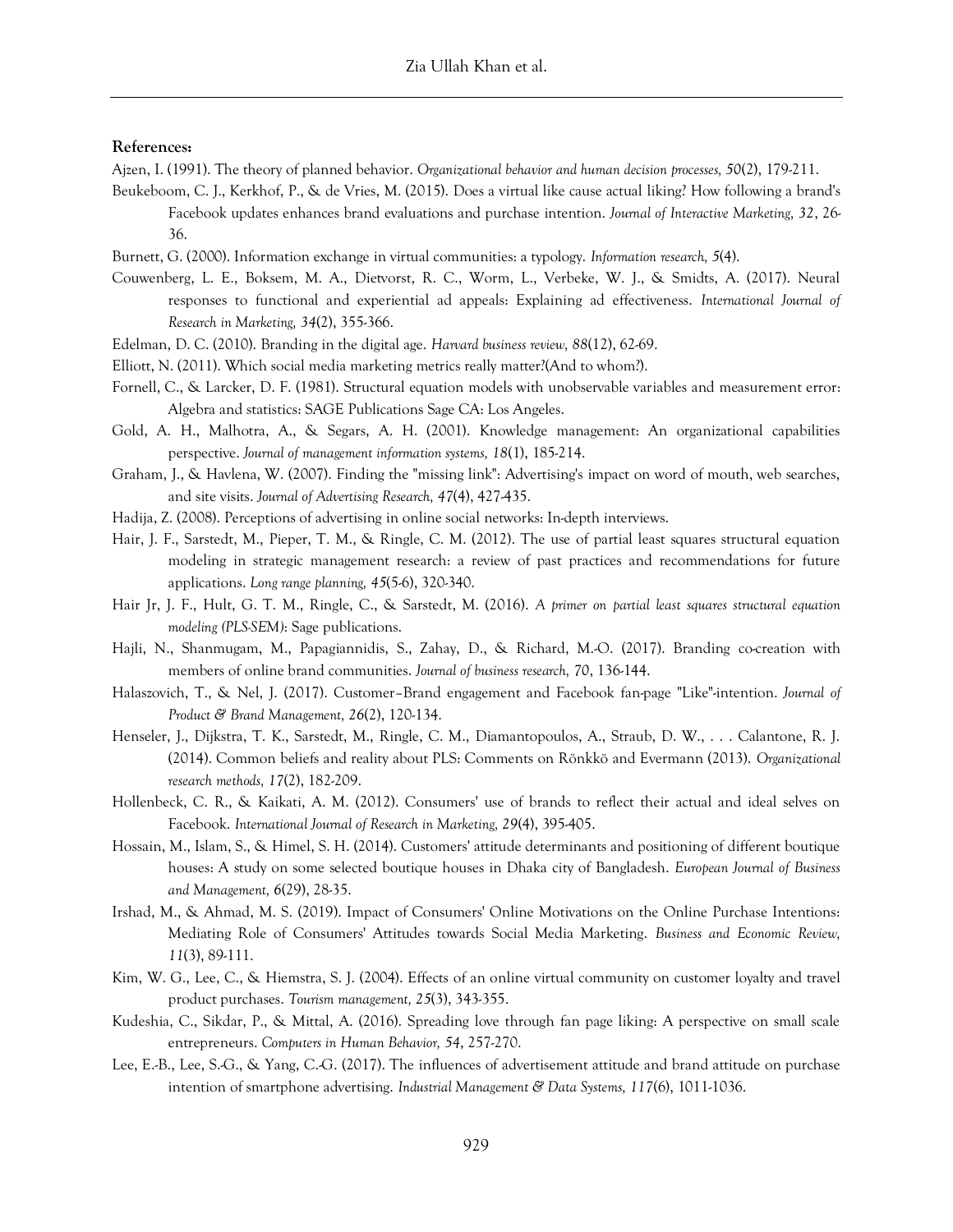#### **References:**

- Ajzen, I. (1991). The theory of planned behavior. *Organizational behavior and human decision processes, 50*(2), 179-211.
- Beukeboom, C. J., Kerkhof, P., & de Vries, M. (2015). Does a virtual like cause actual liking? How following a brand's Facebook updates enhances brand evaluations and purchase intention. *Journal of Interactive Marketing, 32*, 26- 36.
- Burnett, G. (2000). Information exchange in virtual communities: a typology. *Information research, 5*(4).
- Couwenberg, L. E., Boksem, M. A., Dietvorst, R. C., Worm, L., Verbeke, W. J., & Smidts, A. (2017). Neural responses to functional and experiential ad appeals: Explaining ad effectiveness. *International Journal of Research in Marketing, 34*(2), 355-366.
- Edelman, D. C. (2010). Branding in the digital age. *Harvard business review, 88*(12), 62-69.
- Elliott, N. (2011). Which social media marketing metrics really matter?(And to whom?).
- Fornell, C., & Larcker, D. F. (1981). Structural equation models with unobservable variables and measurement error: Algebra and statistics: SAGE Publications Sage CA: Los Angeles.
- Gold, A. H., Malhotra, A., & Segars, A. H. (2001). Knowledge management: An organizational capabilities perspective. *Journal of management information systems, 18*(1), 185-214.
- Graham, J., & Havlena, W. (2007). Finding the "missing link": Advertising's impact on word of mouth, web searches, and site visits. *Journal of Advertising Research, 47*(4), 427-435.
- Hadija, Z. (2008). Perceptions of advertising in online social networks: In-depth interviews.
- Hair, J. F., Sarstedt, M., Pieper, T. M., & Ringle, C. M. (2012). The use of partial least squares structural equation modeling in strategic management research: a review of past practices and recommendations for future applications. *Long range planning, 45*(5-6), 320-340.
- Hair Jr, J. F., Hult, G. T. M., Ringle, C., & Sarstedt, M. (2016). *A primer on partial least squares structural equation modeling (PLS-SEM)*: Sage publications.
- Hajli, N., Shanmugam, M., Papagiannidis, S., Zahay, D., & Richard, M.-O. (2017). Branding co-creation with members of online brand communities. *Journal of business research, 70*, 136-144.
- Halaszovich, T., & Nel, J. (2017). Customer–Brand engagement and Facebook fan-page "Like"-intention. *Journal of Product & Brand Management, 26*(2), 120-134.
- Henseler, J., Dijkstra, T. K., Sarstedt, M., Ringle, C. M., Diamantopoulos, A., Straub, D. W., . . . Calantone, R. J. (2014). Common beliefs and reality about PLS: Comments on Rönkkö and Evermann (2013). *Organizational research methods, 17*(2), 182-209.
- Hollenbeck, C. R., & Kaikati, A. M. (2012). Consumers' use of brands to reflect their actual and ideal selves on Facebook. *International Journal of Research in Marketing, 29*(4), 395-405.
- Hossain, M., Islam, S., & Himel, S. H. (2014). Customers' attitude determinants and positioning of different boutique houses: A study on some selected boutique houses in Dhaka city of Bangladesh. *European Journal of Business and Management, 6*(29), 28-35.
- Irshad, M., & Ahmad, M. S. (2019). Impact of Consumers' Online Motivations on the Online Purchase Intentions: Mediating Role of Consumers' Attitudes towards Social Media Marketing. *Business and Economic Review, 11*(3), 89-111.
- Kim, W. G., Lee, C., & Hiemstra, S. J. (2004). Effects of an online virtual community on customer loyalty and travel product purchases. *Tourism management, 25*(3), 343-355.
- Kudeshia, C., Sikdar, P., & Mittal, A. (2016). Spreading love through fan page liking: A perspective on small scale entrepreneurs. *Computers in Human Behavior, 54*, 257-270.
- Lee, E.-B., Lee, S.-G., & Yang, C.-G. (2017). The influences of advertisement attitude and brand attitude on purchase intention of smartphone advertising. *Industrial Management & Data Systems, 117*(6), 1011-1036.